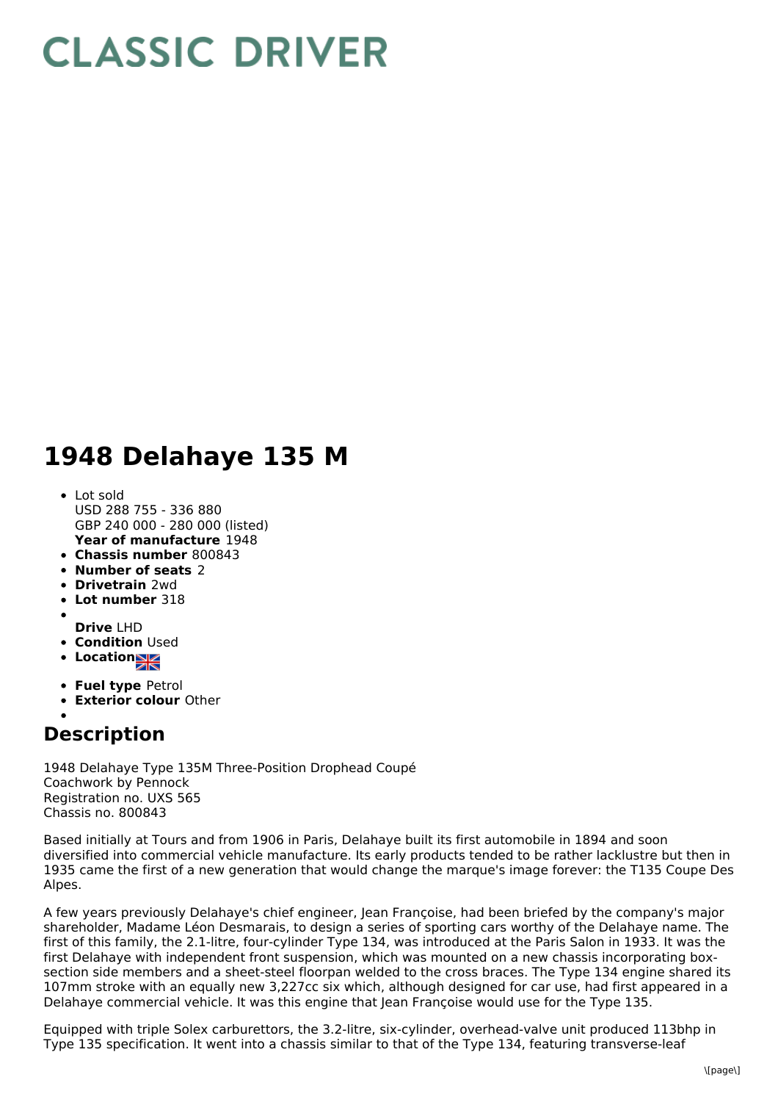## **CLASSIC DRIVER**

## **1948 Delahaye 135 M**

- **Year of manufacture** 1948 • Lot sold USD 288 755 - 336 880 GBP 240 000 - 280 000 (listed)
- **Chassis number** 800843
- **Number of seats** 2
- **Drivetrain** 2wd
- **Lot number** 318
- **Drive** LHD
- **Condition** Used
- **Location**
- **Fuel type** Petrol
- **Exterior colour** Other
- 

## **Description**

1948 Delahaye Type 135M Three-Position Drophead Coupé Coachwork by Pennock Registration no. UXS 565 Chassis no. 800843

Based initially at Tours and from 1906 in Paris, Delahaye built its first automobile in 1894 and soon diversified into commercial vehicle manufacture. Its early products tended to be rather lacklustre but then in 1935 came the first of a new generation that would change the marque's image forever: the T135 Coupe Des Alpes.

A few years previously Delahaye's chief engineer, Jean Françoise, had been briefed by the company's major shareholder, Madame Léon Desmarais, to design a series of sporting cars worthy of the Delahaye name. The first of this family, the 2.1-litre, four-cylinder Type 134, was introduced at the Paris Salon in 1933. It was the first Delahaye with independent front suspension, which was mounted on a new chassis incorporating boxsection side members and a sheet-steel floorpan welded to the cross braces. The Type 134 engine shared its 107mm stroke with an equally new 3,227cc six which, although designed for car use, had first appeared in a Delahaye commercial vehicle. It was this engine that Jean Françoise would use for the Type 135.

Equipped with triple Solex carburettors, the 3.2-litre, six-cylinder, overhead-valve unit produced 113bhp in Type 135 specification. It went into a chassis similar to that of the Type 134, featuring transverse-leaf